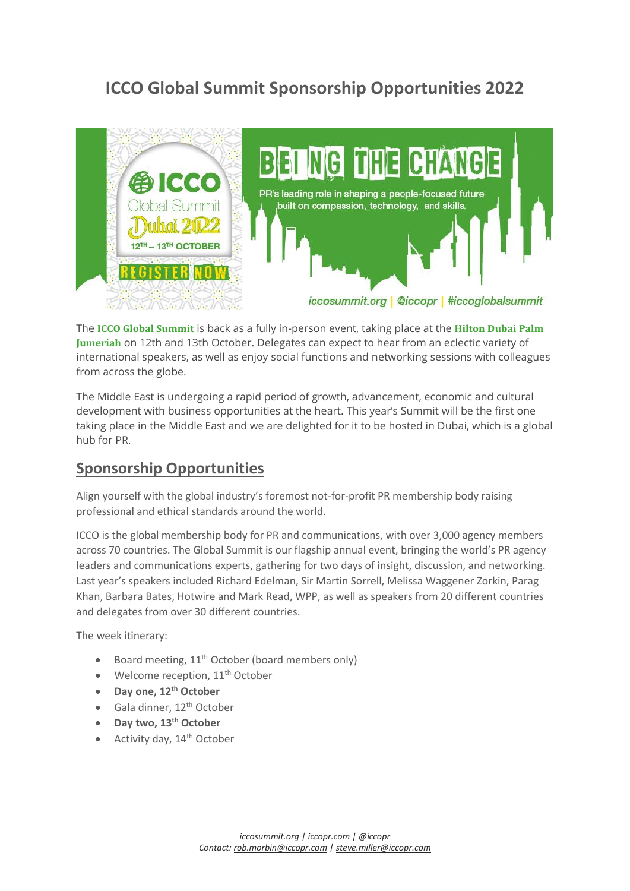# **ICCO Global Summit Sponsorship Opportunities 2022**



The **ICCO Global Summit** is back as a fully in-person event, taking place at the **[Hilton](https://www.hilton.com/en/hotels/dxbpjhi-hilton-dubai-palm-jumeirah/) Dubai Palm [Jumeriah](https://www.hilton.com/en/hotels/dxbpjhi-hilton-dubai-palm-jumeirah/)** on 12th and 13th October. Delegates can expect to hear from an eclectic variety of international speakers, as well as enjoy social functions and networking sessions with colleagues from across the globe.

The Middle East is undergoing a rapid period of growth, advancement, economic and cultural development with business opportunities at the heart. This year's Summit will be the first one taking place in the Middle East and we are delighted for it to be hosted in Dubai, which is a global hub for PR.

# **Sponsorship Opportunities**

Align yourself with the global industry's foremost not-for-profit PR membership body raising professional and ethical standards around the world.

ICCO is the global membership body for PR and communications, with over 3,000 agency members across 70 countries. The Global Summit is our flagship annual event, bringing the world's PR agency leaders and communications experts, gathering for two days of insight, discussion, and networking. Last year's speakers included Richard Edelman, Sir Martin Sorrell, Melissa Waggener Zorkin, Parag Khan, Barbara Bates, Hotwire and Mark Read, WPP, as well as speakers from 20 different countries and delegates from over 30 different countries.

The week itinerary:

- Board meeting,  $11<sup>th</sup>$  October (board members only)
- Welcome reception,  $11<sup>th</sup>$  October
- **Day one, 12th October**
- Gala dinner, 12<sup>th</sup> October
- **Day two, 13th October**
- Activity day, 14<sup>th</sup> October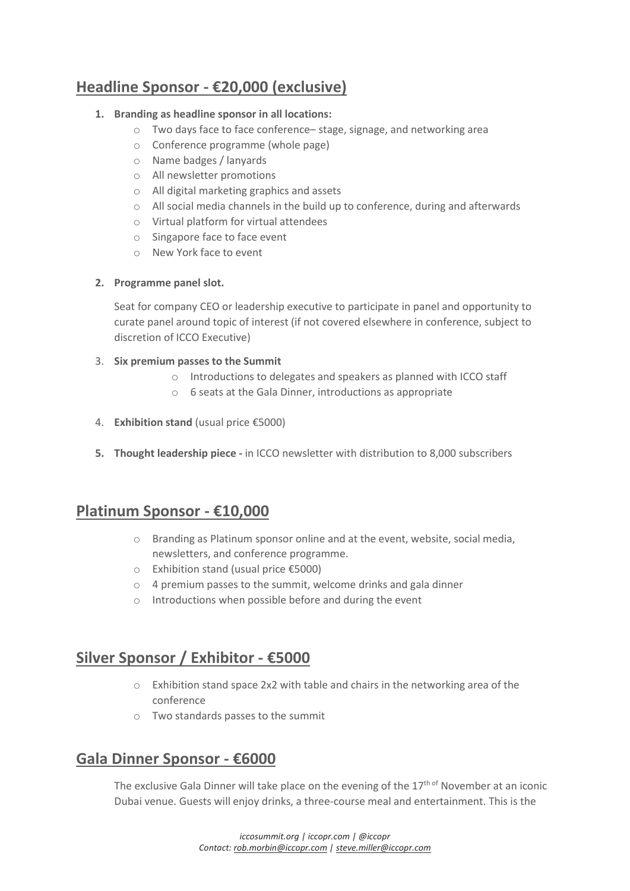# **Headline Sponsor - €20,000 (exclusive)**

#### **1. Branding as headline sponsor in all locations:**

- o Two days face to face conference– stage, signage, and networking area
- o Conference programme (whole page)
- o Name badges / lanyards
- o All newsletter promotions
- o All digital marketing graphics and assets
- o All social media channels in the build up to conference, during and afterwards
- o Virtual platform for virtual attendees
- o Singapore face to face event
- o New York face to event

#### **2. Programme panel slot.**

Seat for company CEO or leadership executive to participate in panel and opportunity to curate panel around topic of interest (if not covered elsewhere in conference, subject to discretion of ICCO Executive)

#### 3. **Six premium passes to the Summit**

- o Introductions to delegates and speakers as planned with ICCO staff
- o 6 seats at the Gala Dinner, introductions as appropriate
- 4. **Exhibition stand** (usual price €5000)
- **5. Thought leadership piece -** in ICCO newsletter with distribution to 8,000 subscribers

# **Platinum Sponsor - €10,000**

- o Branding as Platinum sponsor online and at the event, website, social media, newsletters, and conference programme.
- o Exhibition stand (usual price €5000)
- o 4 premium passes to the summit, welcome drinks and gala dinner
- o Introductions when possible before and during the event

# **Silver Sponsor / Exhibitor - €5000**

- $\circ$  Exhibition stand space 2x2 with table and chairs in the networking area of the conference
- o Two standards passes to the summit

# **Gala Dinner Sponsor - €6000**

The exclusive Gala Dinner will take place on the evening of the 17<sup>th of</sup> November at an iconic Dubai venue. Guests will enjoy drinks, a three-course meal and entertainment. This is the